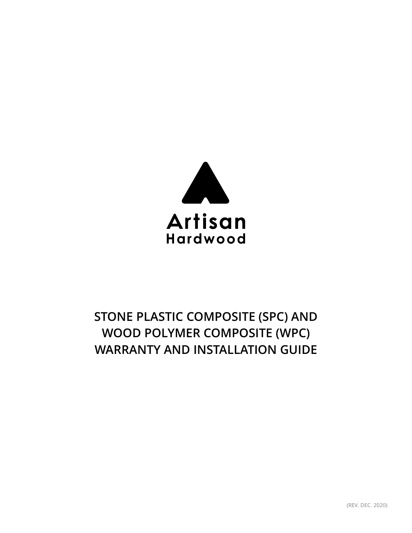

# **STONE PLASTIC COMPOSITE (SPC) AND WOOD POLYMER COMPOSITE (WPC) WARRANTY AND INSTALLATION GUIDE**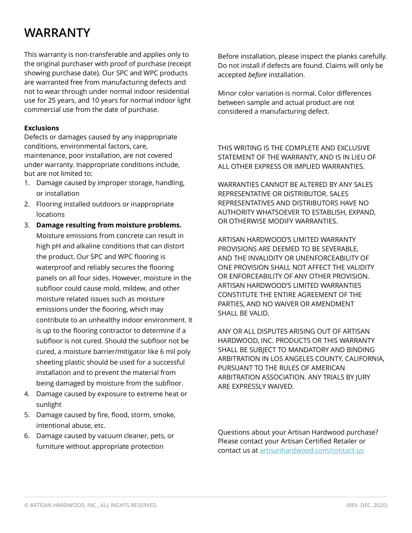### **WARRANTY**

This warranty is non-transferable and applies only to the original purchaser with proof of purchase (receipt showing purchase date). Our SPC and WPC products are warranted free from manufacturing defects and not to wear through under normal indoor residential use for 25 years, and 10 years for normal indoor light commercial use from the date of purchase.

#### **Exclusions**

Defects or damages caused by any inappropriate conditions, environmental factors, care, maintenance, poor installation, are not covered under warranty. Inappropriate conditions include, but are not limited to:

- 1. Damage caused by improper storage, handling, or installation
- 2. Flooring installed outdoors or inappropriate locations
- 3. **Damage resulting from moisture problems.** Moisture emissions from concrete can result in high pH and alkaline conditions that can distort the product. Our SPC and WPC flooring is waterproof and reliably secures the flooring panels on all four sides. However, moisture in the subfloor could cause mold, mildew, and other moisture related issues such as moisture emissions under the flooring, which may contribute to an unhealthy indoor environment. It is up to the flooring contractor to determine if a subfloor is not cured. Should the subfloor not be cured, a moisture barrier/mitigator like 6 mil poly sheeting plastic should be used for a successful installation and to prevent the material from being damaged by moisture from the subfloor.
- 4. Damage caused by exposure to extreme heat or sunlight
- 5. Damage caused by fire, flood, storm, smoke, intentional abuse, etc.
- 6. Damage caused by vacuum cleaner, pets, or furniture without appropriate protection

Before installation, please inspect the planks carefully. Do not install if defects are found. Claims will only be accepted *before* installation.

Minor color variation is normal. Color differences between sample and actual product are not considered a manufacturing defect.

THIS WRITING IS THE COMPLETE AND EXCLUSIVE STATEMENT OF THE WARRANTY, AND IS IN LIEU OF ALL OTHER EXPRESS OR IMPLIED WARRANTIES.

WARRANTIES CANNOT BE ALTERED BY ANY SALES REPRESENTATIVE OR DISTRIBUTOR. SALES REPRESENTATIVES AND DISTRIBUTORS HAVE NO AUTHORITY WHATSOEVER TO ESTABLISH, EXPAND, OR OTHERWISE MODIFY WARRANTIES.

ARTISAN HARDWOOD'S LIMITED WARRANTY PROVISIONS ARE DEEMED TO BE SEVERABLE, AND THE INVALIDITY OR UNENFORCEABILITY OF ONE PROVISION SHALL NOT AFFECT THE VALIDITY OR ENFORCEABILITY OF ANY OTHER PROVISION. ARTISAN HARDWOOD'S LIMITED WARRANTIES CONSTITUTE THE ENTIRE AGREEMENT OF THE PARTIES, AND NO WAIVER OR AMENDMENT SHALL BE VALID.

ANY OR ALL DISPUTES ARISING OUT OF ARTISAN HARDWOOD, INC. PRODUCTS OR THIS WARRANTY SHALL BE SUBJECT TO MANDATORY AND BINDING ARBITRATION IN LOS ANGELES COUNTY, CALIFORNIA, PURSUANT TO THE RULES OF AMERICAN ARBITRATION ASSOCIATION. ANY TRIALS BY JURY ARE EXPRESSLY WAIVED.

Questions about your Artisan Hardwood purchase? Please contact your Artisan Certified Retailer or contact us at [artisanhardwood.com/contact-us](http://artisanhardwood.com/contact-us/)